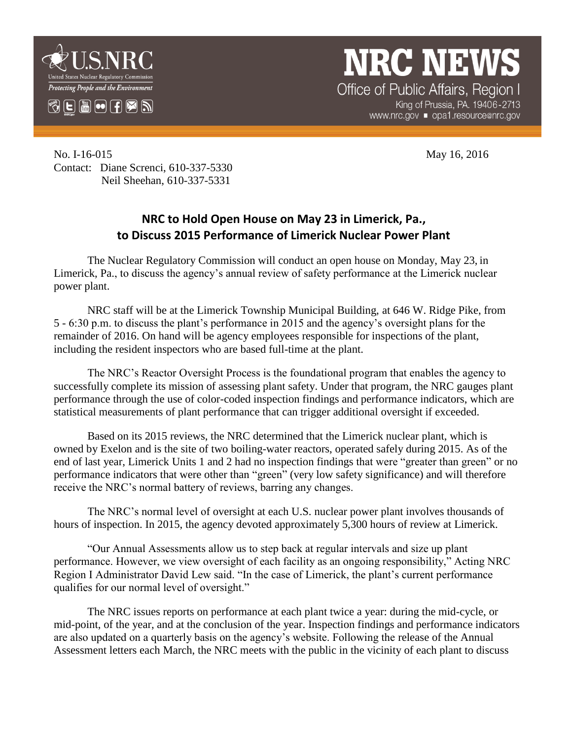

**NRC NEW** Office of Public Affairs, Region I

King of Prussia, PA. 19406-2713 www.nrc.gov ■ opa1.resource@nrc.gov

No. I-16-015 May 16, 2016 Contact: Diane Screnci, 610-337-5330 Neil Sheehan, 610-337-5331

## **NRC to Hold Open House on May 23 in Limerick, Pa., to Discuss 2015 Performance of Limerick Nuclear Power Plant**

The Nuclear Regulatory Commission will conduct an open house on Monday, May 23, in Limerick, Pa., to discuss the agency's annual review of safety performance at the Limerick nuclear power plant.

NRC staff will be at the Limerick Township Municipal Building, at 646 W. Ridge Pike, from 5 - 6:30 p.m. to discuss the plant's performance in 2015 and the agency's oversight plans for the remainder of 2016. On hand will be agency employees responsible for inspections of the plant, including the resident inspectors who are based full-time at the plant.

The NRC's Reactor Oversight Process is the foundational program that enables the agency to successfully complete its mission of assessing plant safety. Under that program, the NRC gauges plant performance through the use of color-coded inspection findings and performance indicators, which are statistical measurements of plant performance that can trigger additional oversight if exceeded.

Based on its 2015 reviews, the NRC determined that the Limerick nuclear plant, which is owned by Exelon and is the site of two boiling-water reactors, operated safely during 2015. As of the end of last year, Limerick Units 1 and 2 had no inspection findings that were "greater than green" or no performance indicators that were other than "green" (very low safety significance) and will therefore receive the NRC's normal battery of reviews, barring any changes.

The NRC's normal level of oversight at each U.S. nuclear power plant involves thousands of hours of inspection. In 2015, the agency devoted approximately 5,300 hours of review at Limerick.

"Our Annual Assessments allow us to step back at regular intervals and size up plant performance. However, we view oversight of each facility as an ongoing responsibility," Acting NRC Region I Administrator David Lew said. "In the case of Limerick, the plant's current performance qualifies for our normal level of oversight."

The NRC issues reports on performance at each plant twice a year: during the mid-cycle, or mid-point, of the year, and at the conclusion of the year. Inspection findings and performance indicators are also updated on a quarterly basis on the agency's website. Following the release of the Annual Assessment letters each March, the NRC meets with the public in the vicinity of each plant to discuss